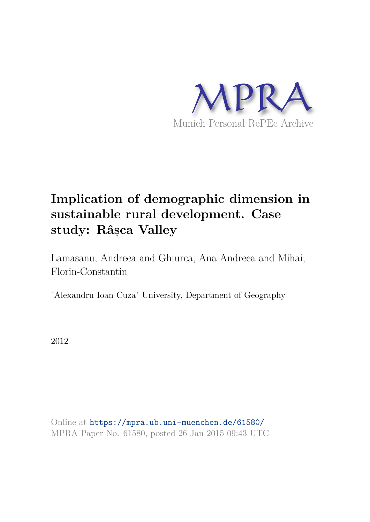

# **Implication of demographic dimension in sustainable rural development. Case study: Râs, ca Valley**

Lamasanu, Andreea and Ghiurca, Ana-Andreea and Mihai, Florin-Constantin

"Alexandru Ioan Cuza" University, Department of Geography

2012

Online at https://mpra.ub.uni-muenchen.de/61580/ MPRA Paper No. 61580, posted 26 Jan 2015 09:43 UTC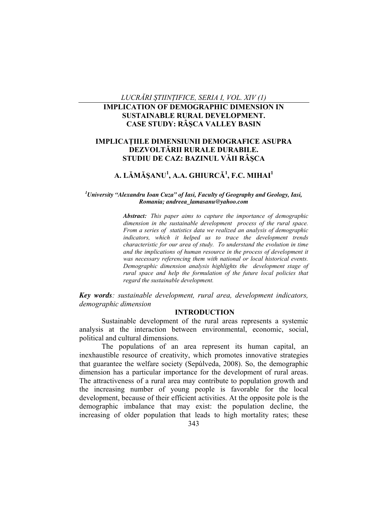*LUCRĂRI ŞTIINŢIFICE, SERIA I, VOL. XIV (1)* 

# **IMPLICATION OF DEMOGRAPHIC DIMENSION IN SUSTAINABLE RURAL DEVELOPMENT. CASE STUDY: RÂŞCA VALLEY BASIN**

# **IMPLICAŢIILE DIMENSIUNII DEMOGRAFICE ASUPRA DEZVOLTĂRII RURALE DURABILE. STUDIU DE CAZ: BAZINUL VĂII RÂŞCA**

# **A. LĂMĂŞANU<sup>1</sup> , A.A. GHIURCĂ 1 , F.C. MIHAI<sup>1</sup>**

#### *<sup>1</sup>University "Alexandru Ioan Cuza" of Iasi, Faculty of Geography and Geology, Iasi, Romania; andreea\_lamasanu@yahoo.com*

*Abstract: This paper aims to capture the importance of demographic dimension in the sustainable development process of the rural space. From a series of statistics data we realized an analysis of demographic indicators, which it helped us to trace the development trends characteristic for our area of study. To understand the evolution in time and the implications of human resource in the process of development it was necessary referencing them with national or local historical events. Demographic dimension analysis highlights the development stage of rural space and help the formulation of the future local policies that regard the sustainable development.* 

*Key words: sustainable development, rural area, development indicators, demographic dimension* 

### **INTRODUCTION**

Sustainable development of the rural areas represents a systemic analysis at the interaction between environmental, economic, social, political and cultural dimensions.

The populations of an area represent its human capital, an inexhaustible resource of creativity, which promotes innovative strategies that guarantee the welfare society (Sepúlveda, 2008). So, the demographic dimension has a particular importance for the development of rural areas. The attractiveness of a rural area may contribute to population growth and the increasing number of young people is favorable for the local development, because of their efficient activities. At the opposite pole is the demographic imbalance that may exist: the population decline, the increasing of older population that leads to high mortality rates; these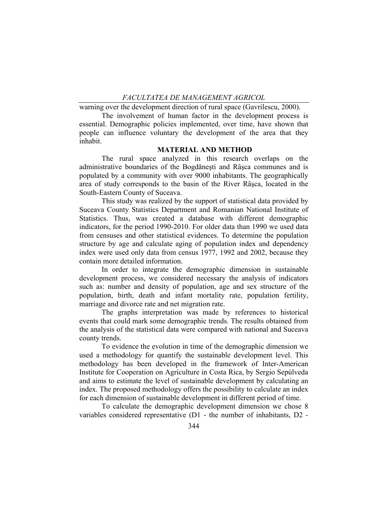warning over the development direction of rural space (Gavrilescu, 2000).

The involvement of human factor in the development process is essential. Demographic policies implemented, over time, have shown that people can influence voluntary the development of the area that they inhabit.

## **MATERIAL AND METHOD**

The rural space analyzed in this research overlaps on the administrative boundaries of the Bogdăneşti and Râşca communes and is populated by a community with over 9000 inhabitants. The geographically area of study corresponds to the basin of the River Râşca, located in the South-Eastern County of Suceava.

This study was realized by the support of statistical data provided by Suceava County Statistics Department and Romanian National Institute of Statistics. Thus, was created a database with different demographic indicators, for the period 1990-2010. For older data than 1990 we used data from censuses and other statistical evidences. To determine the population structure by age and calculate aging of population index and dependency index were used only data from census 1977, 1992 and 2002, because they contain more detailed information.

In order to integrate the demographic dimension in sustainable development process, we considered necessary the analysis of indicators such as: number and density of population, age and sex structure of the population, birth, death and infant mortality rate, population fertility, marriage and divorce rate and net migration rate.

The graphs interpretation was made by references to historical events that could mark some demographic trends. The results obtained from the analysis of the statistical data were compared with national and Suceava county trends.

To evidence the evolution in time of the demographic dimension we used a methodology for quantify the sustainable development level. This methodology has been developed in the framework of Inter-American Institute for Cooperation on Agriculture in Costa Rica, by Sergio Sepúlveda and aims to estimate the level of sustainable development by calculating an index. The proposed methodology offers the possibility to calculate an index for each dimension of sustainable development in different period of time.

To calculate the demographic development dimension we chose 8 variables considered representative (D1 - the number of inhabitants, D2 -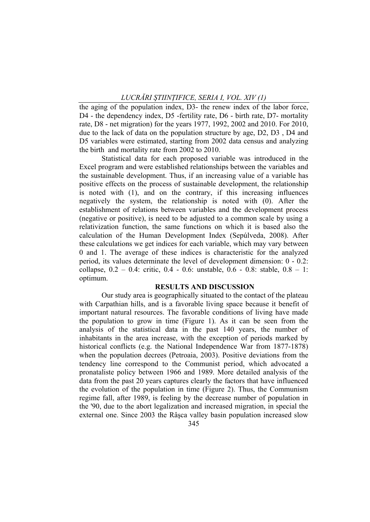the aging of the population index, D3- the renew index of the labor force, D4 - the dependency index, D5 -fertility rate, D6 - birth rate, D7- mortality rate, D8 - net migration) for the years 1977, 1992, 2002 and 2010. For 2010, due to the lack of data on the population structure by age, D2, D3 , D4 and D5 variables were estimated, starting from 2002 data census and analyzing the birth and mortality rate from 2002 to 2010.

Statistical data for each proposed variable was introduced in the Excel program and were established relationships between the variables and the sustainable development. Thus, if an increasing value of a variable has positive effects on the process of sustainable development, the relationship is noted with (1), and on the contrary, if this increasing influences negatively the system, the relationship is noted with (0). After the establishment of relations between variables and the development process (negative or positive), is need to be adjusted to a common scale by using a relativization function, the same functions on which it is based also the calculation of the Human Development Index (Sepúlveda, 2008). After these calculations we get indices for each variable, which may vary between 0 and 1. The average of these indices is characteristic for the analyzed period, its values determinate the level of development dimension: 0 - 0.2: collapse, 0.2 – 0.4: critic, 0.4 - 0.6: unstable, 0.6 - 0.8: stable, 0.8 – 1: optimum.

#### **RESULTS AND DISCUSSION**

Our study area is geographically situated to the contact of the plateau with Carpathian hills, and is a favorable living space because it benefit of important natural resources. The favorable conditions of living have made the population to grow in time (Figure 1). As it can be seen from the analysis of the statistical data in the past 140 years, the number of inhabitants in the area increase, with the exception of periods marked by historical conflicts (e.g. the National Independence War from 1877-1878) when the population decrees (Petroaia, 2003). Positive deviations from the tendency line correspond to the Communist period, which advocated a pronataliste policy between 1966 and 1989. More detailed analysis of the data from the past 20 years captures clearly the factors that have influenced the evolution of the population in time (Figure 2). Thus, the Communism regime fall, after 1989, is feeling by the decrease number of population in the '90, due to the abort legalization and increased migration, in special the external one. Since 2003 the Râşca valley basin population increased slow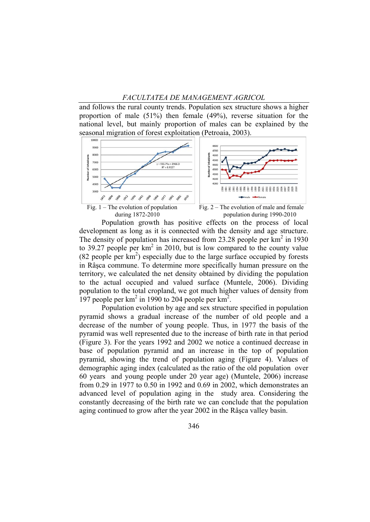#### *FACULTATEA DE MANAGEMENT AGRICOL*

and follows the rural county trends. Population sex structure shows a higher proportion of male (51%) then female (49%), reverse situation for the national level, but mainly proportion of males can be explained by the seasonal migration of forest exploitation (Petroaia, 2003).



Population growth has positive effects on the process of local development as long as it is connected with the density and age structure. The density of population has increased from 23.28 people per  $\text{km}^2$  in 1930 to 39.27 people per  $km^2$  in 2010, but is low compared to the county value  $(82$  people per  $km^2$ ) especially due to the large surface occupied by forests in Râşca commune. To determine more specifically human pressure on the territory, we calculated the net density obtained by dividing the population to the actual occupied and valued surface (Muntele, 2006). Dividing population to the total cropland, we got much higher values of density from 197 people per  $km^2$  in 1990 to 204 people per  $km^2$ .

Population evolution by age and sex structure specified in population pyramid shows a gradual increase of the number of old people and a decrease of the number of young people. Thus, in 1977 the basis of the pyramid was well represented due to the increase of birth rate in that period (Figure 3). For the years 1992 and 2002 we notice a continued decrease in base of population pyramid and an increase in the top of population pyramid, showing the trend of population aging (Figure 4). Values of demographic aging index (calculated as the ratio of the old population over 60 years and young people under 20 year age) (Muntele, 2006) increase from 0.29 in 1977 to 0.50 in 1992 and 0.69 in 2002, which demonstrates an advanced level of population aging in the study area. Considering the constantly decreasing of the birth rate we can conclude that the population aging continued to grow after the year 2002 in the Râşca valley basin.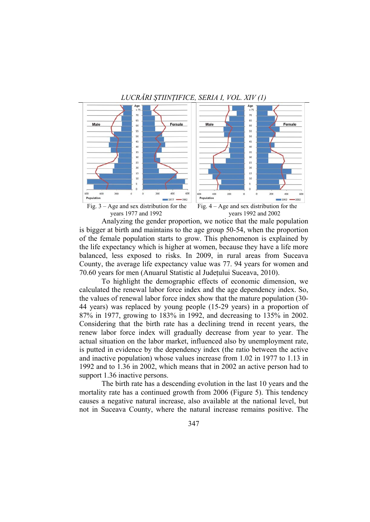# *LUCRĂRI ŞTIINŢIFICE, SERIA I, VOL. XIV (1)*



Fig.  $3 - \overline{Age}$  and sex distribution for the Fig.  $4 - \overline{Age}$  and sex distribution for the years 1977 and 1992 years 1992 and 2002

Analyzing the gender proportion, we notice that the male population is bigger at birth and maintains to the age group 50-54, when the proportion of the female population starts to grow. This phenomenon is explained by the life expectancy which is higher at women, because they have a life more balanced, less exposed to risks. In 2009, in rural areas from Suceava County, the average life expectancy value was 77. 94 years for women and 70.60 years for men (Anuarul Statistic al Judeţului Suceava, 2010).

To highlight the demographic effects of economic dimension, we calculated the renewal labor force index and the age dependency index. So, the values of renewal labor force index show that the mature population (30- 44 years) was replaced by young people (15-29 years) in a proportion of 87% in 1977, growing to 183% in 1992, and decreasing to 135% in 2002. Considering that the birth rate has a declining trend in recent years, the renew labor force index will gradually decrease from year to year. The actual situation on the labor market, influenced also by unemployment rate, is putted in evidence by the dependency index (the ratio between the active and inactive population) whose values increase from 1.02 in 1977 to 1.13 in 1992 and to 1.36 in 2002, which means that in 2002 an active person had to support 1.36 inactive persons.

The birth rate has a descending evolution in the last 10 years and the mortality rate has a continued growth from 2006 (Figure 5). This tendency causes a negative natural increase, also available at the national level, but not in Suceava County, where the natural increase remains positive. The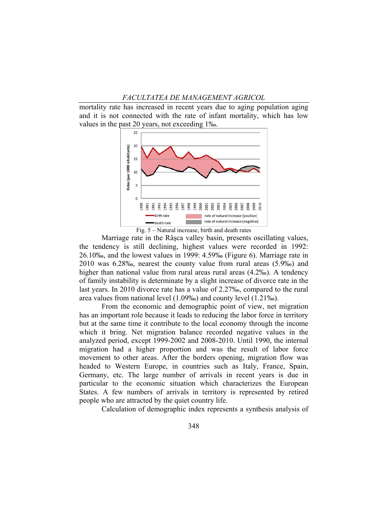#### *FACULTATEA DE MANAGEMENT AGRICOL*

mortality rate has increased in recent years due to aging population aging and it is not connected with the rate of infant mortality, which has low values in the past 20 years, not exceeding 1‰.



Fig. 5 – Natural increase, birth and death rates

Marriage rate in the Râşca valley basin, presents oscillating values, the tendency is still declining, highest values were recorded in 1992: 26.10‰, and the lowest values in 1999: 4.59‰ (Figure 6). Marriage rate in 2010 was 6.28‰, nearest the county value from rural areas (5.9‰) and higher than national value from rural areas rural areas (4.2‰). A tendency of family instability is determinate by a slight increase of divorce rate in the last years. In 2010 divorce rate has a value of 2.27‰, compared to the rural area values from national level (1.09‰) and county level (1.21‰).

From the economic and demographic point of view, net migration has an important role because it leads to reducing the labor force in territory but at the same time it contribute to the local economy through the income which it bring. Net migration balance recorded negative values in the analyzed period, except 1999-2002 and 2008-2010. Until 1990, the internal migration had a higher proportion and was the result of labor force movement to other areas. After the borders opening, migration flow was headed to Western Europe, in countries such as Italy, France, Spain, Germany, etc. The large number of arrivals in recent years is due in particular to the economic situation which characterizes the European States. A few numbers of arrivals in territory is represented by retired people who are attracted by the quiet country life.

Calculation of demographic index represents a synthesis analysis of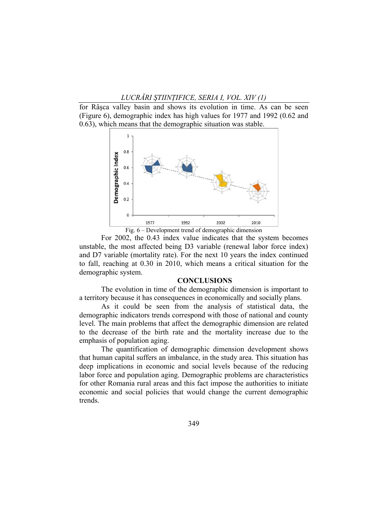for Râşca valley basin and shows its evolution in time. As can be seen (Figure 6), demographic index has high values for 1977 and 1992 (0.62 and 0.63), which means that the demographic situation was stable.



Fig. 6 – Development trend of demographic dimension

For 2002, the 0.43 index value indicates that the system becomes unstable, the most affected being D3 variable (renewal labor force index) and D7 variable (mortality rate). For the next 10 years the index continued to fall, reaching at 0.30 in 2010, which means a critical situation for the demographic system.

#### **CONCLUSIONS**

The evolution in time of the demographic dimension is important to a territory because it has consequences in economically and socially plans.

As it could be seen from the analysis of statistical data, the demographic indicators trends correspond with those of national and county level. The main problems that affect the demographic dimension are related to the decrease of the birth rate and the mortality increase due to the emphasis of population aging.

The quantification of demographic dimension development shows that human capital suffers an imbalance, in the study area. This situation has deep implications in economic and social levels because of the reducing labor force and population aging. Demographic problems are characteristics for other Romania rural areas and this fact impose the authorities to initiate economic and social policies that would change the current demographic trends.